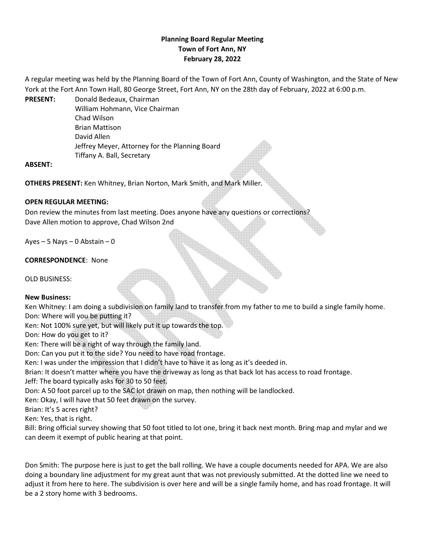# **Planning Board Regular Meeting Town of Fort Ann, NY February 28, 2022**

A regular meeting was held by the Planning Board of the Town of Fort Ann, County of Washington, and the State of New York at the Fort Ann Town Hall, 80 George Street, Fort Ann, NY on the 28th day of February, 2022 at 6:00 p.m.

**PRESENT:** Donald Bedeaux, Chairman William Hohmann, Vice Chairman Chad Wilson Brian Mattison David Allen Jeffrey Meyer, Attorney for the Planning Board Tiffany A. Ball, Secretary

### **ABSENT:**

**OTHERS PRESENT:** Ken Whitney, Brian Norton, Mark Smith, and Mark Miller.

## **OPEN REGULAR MEETING:**

Don review the minutes from last meeting. Does anyone have any questions or corrections? Dave Allen motion to approve, Chad Wilson 2nd

Ayes – 5 Nays – 0 Abstain – 0

## **CORRESPONDENCE**: None

OLD BUSINESS:

### **New Business:**

Ken Whitney: I am doing a subdivision on family land to transfer from my father to me to build a single family home. Don: Where will you be putting it? Ken: Not 100% sure yet, but will likely put it up towards the top.

Don: How do you get to it?

Ken: There will be a right of way through the family land.

Don: Can you put it to the side? You need to have road frontage.

Ken: I was under the impression that I didn't have to have it as long as it's deeded in.

Brian: It doesn't matter where you have the driveway as long as that back lot has access to road frontage.

Jeff: The board typically asks for 30 to 50 feet.

Don: A 50 foot parcel up to the SAC lot drawn on map, then nothing will be landlocked.

Ken: Okay, I will have that 50 feet drawn on the survey.

Brian: It's 5 acres right?

Ken: Yes, that is right.

Bill: Bring official survey showing that 50 foot titled to lot one, bring it back next month. Bring map and mylar and we can deem it exempt of public hearing at that point.

Don Smith: The purpose here is just to get the ball rolling. We have a couple documents needed for APA. We are also doing a boundary line adjustment for my great aunt that was not previously submitted. At the dotted line we need to adjust it from here to here. The subdivision is over here and will be a single family home, and has road frontage. It will be a 2 story home with 3 bedrooms.